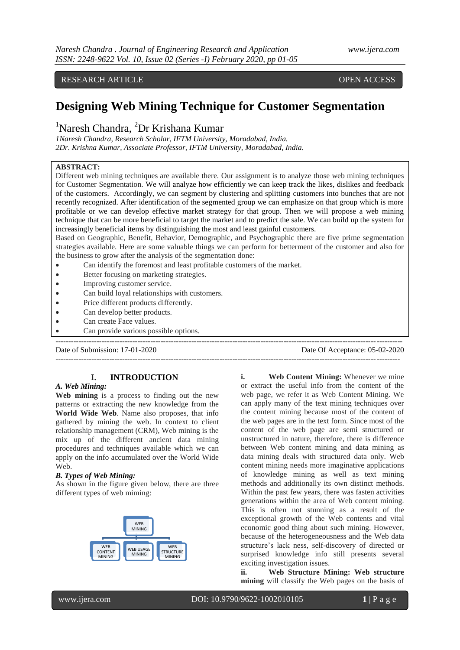# RESEARCH ARTICLE **CONSERVERS** OPEN ACCESS

# **Designing Web Mining Technique for Customer Segmentation**

# <sup>1</sup>Naresh Chandra, <sup>2</sup>Dr Krishana Kumar

*1Naresh Chandra, Research Scholar, IFTM University, Moradabad, India. 2Dr. Krishna Kumar, Associate Professor, IFTM University, Moradabad, India.*

### **ABSTRACT:**

Different web mining techniques are available there. Our assignment is to analyze those web mining techniques for Customer Segmentation. We will analyze how efficiently we can keep track the likes, dislikes and feedback of the customers. Accordingly, we can segment by clustering and splitting customers into bunches that are not recently recognized. After identification of the segmented group we can emphasize on that group which is more profitable or we can develop effective market strategy for that group. Then we will propose a web mining technique that can be more beneficial to target the market and to predict the sale. We can build up the system for increasingly beneficial items by distinguishing the most and least gainful customers.

Based on Geographic, Benefit, Behavior, Demographic, and Psychographic there are five prime segmentation strategies available. Here are some valuable things we can perform for betterment of the customer and also for the business to grow after the analysis of the segmentation done:

---------------------------------------------------------------------------------------------------------------------------------------

- Can identify the foremost and least profitable customers of the market.
- Better focusing on marketing strategies.
- Improving customer service.
- Can build loyal relationships with customers.
- Price different products differently.
- Can develop better products.
- Can create Face values.
- Can provide various possible options.

Date of Submission: 17-01-2020 Date Of Acceptance: 05-02-2020

 $-1-\frac{1}{2}$ 

#### **I. INTRODUCTION**

#### *A. Web Mining:*

**Web mining** is a process to finding out the new patterns or extracting the new knowledge from the **World Wide Web**. Name also proposes, that info gathered by mining the web. In context to client relationship management (CRM), Web mining is the mix up of the different ancient data mining procedures and techniques available which we can apply on the info accumulated over the World Wide Web.

#### *B. Types of Web Mining:*

As shown in the figure given below, there are three different types of web miming:



**i. Web Content Mining:** Whenever we mine or extract the useful info from the content of the web page, we refer it as Web Content Mining. We can apply many of the text mining techniques over the content mining because most of the content of the web pages are in the text form. Since most of the content of the web page are semi structured or unstructured in nature, therefore, there is difference between Web content mining and data mining as data mining deals with structured data only. Web content mining needs more imaginative applications of knowledge mining as well as text mining methods and additionally its own distinct methods. Within the past few years, there was fasten activities generations within the area of Web content mining. This is often not stunning as a result of the exceptional growth of the Web contents and vital economic good thing about such mining. However, because of the heterogeneousness and the Web data structure's lack ness, self-discovery of directed or surprised knowledge info still presents several exciting investigation issues.

**ii. Web Structure Mining: Web structure mining** will classify the Web pages on the basis of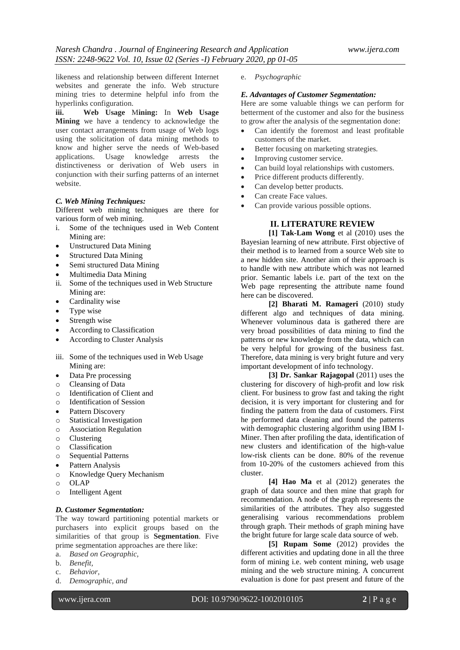likeness and relationship between different Internet websites and generate the info. Web structure mining tries to determine helpful info from the hyperlinks configuration.

**iii. Web Usage** M**ining:** In **Web Usage Mining** we have a tendency to acknowledge the user contact arrangements from usage of Web logs using the solicitation of data mining methods to know and higher serve the needs of Web-based applications. Usage knowledge arrests the distinctiveness or derivation of Web users in conjunction with their surfing patterns of an internet website.

#### *C. Web Mining Techniques:*

Different web mining techniques are there for various form of web mining.

- i. Some of the techniques used in Web Content Mining are:
- Unstructured Data Mining
- Structured Data Mining
- Semi structured Data Mining
- Multimedia Data Mining
- ii. Some of the techniques used in Web Structure Mining are:
- Cardinality wise
- Type wise
- Strength wise
- According to Classification
- According to Cluster Analysis
- iii. Some of the techniques used in Web Usage Mining are:
- Data Pre processing
- o Cleansing of Data
- o Identification of Client and
- o Identification of Session
- Pattern Discovery
- o Statistical Investigation
- o Association Regulation
- o Clustering
- o Classification
- o Sequential Patterns
- Pattern Analysis
- o Knowledge Query Mechanism
- o OLAP
- o Intelligent Agent

#### *D. Customer Segmentation:*

The way toward partitioning potential markets or purchasers into explicit groups based on the similarities of that group is **Segmentation**. Five prime segmentation approaches are there like:

- a. *Based on Geographic,*
- b. *Benefit,*
- c. *Behavior,*
- d. *Demographic, and*

e. *Psychographic*

#### *E. Advantages of Customer Segmentation:*

Here are some valuable things we can perform for betterment of the customer and also for the business to grow after the analysis of the segmentation done:

- Can identify the foremost and least profitable customers of the market.
- Better focusing on marketing strategies.
- Improving customer service.
- Can build loyal relationships with customers.
- Price different products differently.
- Can develop better products.
- Can create Face values.
- Can provide various possible options.

## **II. LITERATURE REVIEW**

**[1] Tak-Lam Wong** et al (2010) uses the Bayesian learning of new attribute. First objective of their method is to learned from a source Web site to a new hidden site. Another aim of their approach is to handle with new attribute which was not learned prior. Semantic labels i.e. part of the text on the Web page representing the attribute name found here can be discovered.

**[2] Bharati M. Ramageri** (2010) study different algo and techniques of data mining. Whenever voluminous data is gathered there are very broad possibilities of data mining to find the patterns or new knowledge from the data, which can be very helpful for growing of the business fast. Therefore, data mining is very bright future and very important development of info technology.

**[3] Dr. Sankar Rajagopal** (2011) uses the clustering for discovery of high-profit and low risk client. For business to grow fast and taking the right decision, it is very important for clustering and for finding the pattern from the data of customers. First he performed data cleaning and found the patterns with demographic clustering algorithm using IBM I-Miner. Then after profiling the data, identification of new clusters and identification of the high-value low-risk clients can be done. 80% of the revenue from 10-20% of the customers achieved from this cluster.

**[4] Hao Ma** et al (2012) generates the graph of data source and then mine that graph for recommendation. A node of the graph represents the similarities of the attributes. They also suggested generalising various recommendations problem through graph. Their methods of graph mining have the bright future for large scale data source of web.

**[5] Rupam Some** (2012) provides the different activities and updating done in all the three form of mining i.e. web content mining, web usage mining and the web structure mining. A concurrent evaluation is done for past present and future of the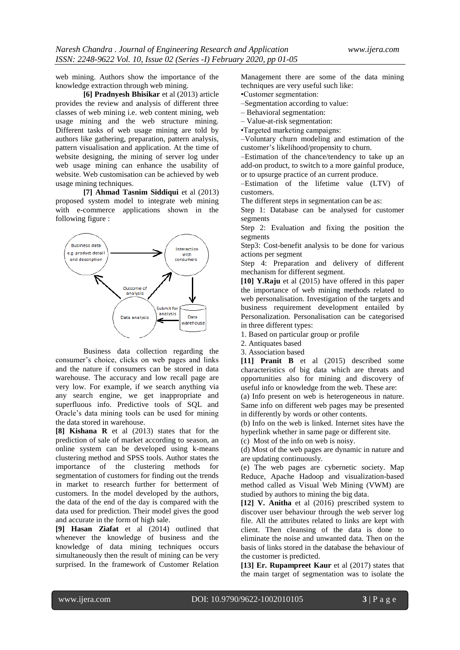web mining. Authors show the importance of the knowledge extraction through web mining.

**[6] Pradnyesh Bhisikar** et al (2013) article provides the review and analysis of different three classes of web mining i.e. web content mining, web usage mining and the web structure mining. Different tasks of web usage mining are told by authors like gathering, preparation, pattern analysis, pattern visualisation and application. At the time of website designing, the mining of server log under web usage mining can enhance the usability of website. Web customisation can be achieved by web usage mining techniques.

**[7] Ahmad Tasnim Siddiqui** et al (2013) proposed system model to integrate web mining with e-commerce applications shown in the following figure :



Business data collection regarding the consumer's choice, clicks on web pages and links and the nature if consumers can be stored in data warehouse. The accuracy and low recall page are very low. For example, if we search anything via any search engine, we get inappropriate and superfluous info. Predictive tools of SQL and Oracle's data mining tools can be used for mining the data stored in warehouse.

**[8] Kishana R** et al (2013) states that for the prediction of sale of market according to season, an online system can be developed using k-means clustering method and SPSS tools. Author states the importance of the clustering methods for segmentation of customers for finding out the trends in market to research further for betterment of customers. In the model developed by the authors, the data of the end of the day is compared with the data used for prediction. Their model gives the good and accurate in the form of high sale.

**[9] Hasan Ziafat** et al (2014) outlined that whenever the knowledge of business and the knowledge of data mining techniques occurs simultaneously then the result of mining can be very surprised. In the framework of Customer Relation Management there are some of the data mining techniques are very useful such like:

•Customer segmentation:

–Segmentation according to value:

– Behavioral segmentation:

– Value-at-risk segmentation:

•Targeted marketing campaigns:

–Voluntary churn modeling and estimation of the customer's likelihood/propensity to churn.

–Estimation of the chance/tendency to take up an add-on product, to switch to a more gainful produce, or to upsurge practice of an current produce.

–Estimation of the lifetime value (LTV) of customers.

The different steps in segmentation can be as:

Step 1: Database can be analysed for customer segments

Step 2: Evaluation and fixing the position the segments

Step3: Cost-benefit analysis to be done for various actions per segment

Step 4: Preparation and delivery of different mechanism for different segment.

**[10] Y.Raju** et al (2015) have offered in this paper the importance of web mining methods related to web personalisation. Investigation of the targets and business requirement development entailed by Personalization. Personalisation can be categorised in three different types:

1. Based on particular group or profile

2. Antiquates based

3. Association based

**[11] Pranit B** et al (2015) described some characteristics of big data which are threats and opportunities also for mining and discovery of useful info or knowledge from the web. These are:

(a) Info present on web is heterogeneous in nature. Same info on different web pages may be presented in differently by words or other contents.

(b) Info on the web is linked. Internet sites have the hyperlink whether in same page or different site.

(c) Most of the info on web is noisy.

(d) Most of the web pages are dynamic in nature and are updating continuously.

(e) The web pages are cybernetic society. Map Reduce, Apache Hadoop and visualization-based method called as Visual Web Mining (VWM) are studied by authors to mining the big data.

**[12] V. Anitha** et al (2016) prescribed system to discover user behaviour through the web server log file. All the attributes related to links are kept with client. Then cleansing of the data is done to eliminate the noise and unwanted data. Then on the basis of links stored in the database the behaviour of the customer is predicted.

**[13] Er. Rupampreet Kaur** et al (2017) states that the main target of segmentation was to isolate the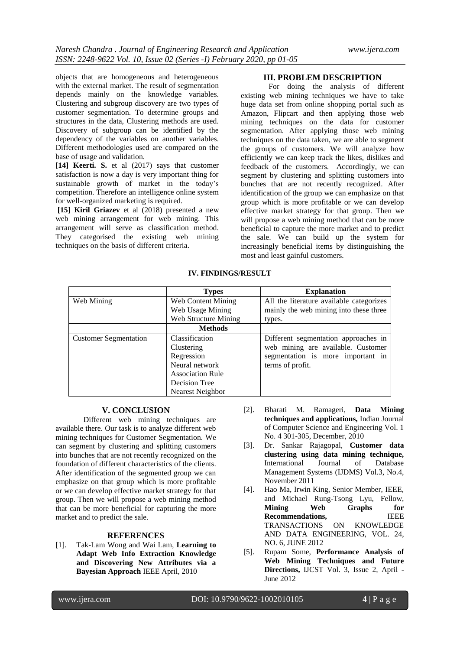objects that are homogeneous and heterogeneous with the external market. The result of segmentation depends mainly on the knowledge variables. Clustering and subgroup discovery are two types of customer segmentation. To determine groups and structures in the data, Clustering methods are used. Discovery of subgroup can be identified by the dependency of the variables on another variables. Different methodologies used are compared on the base of usage and validation.

**[14] Keerti. S.** et al (2017) says that customer satisfaction is now a day is very important thing for sustainable growth of market in the today's competition. Therefore an intelligence online system for well-organized marketing is required.

**[15] Kiril Griazev** et al (2018) presented a new web mining arrangement for web mining. This arrangement will serve as classification method. They categorised the existing web mining techniques on the basis of different criteria.

#### **III. PROBLEM DESCRIPTION**

For doing the analysis of different existing web mining techniques we have to take huge data set from online shopping portal such as Amazon, Flipcart and then applying those web mining techniques on the data for customer segmentation. After applying those web mining techniques on the data taken, we are able to segment the groups of customers. We will analyze how efficiently we can keep track the likes, dislikes and feedback of the customers. Accordingly, we can segment by clustering and splitting customers into bunches that are not recently recognized. After identification of the group we can emphasize on that group which is more profitable or we can develop effective market strategy for that group. Then we will propose a web mining method that can be more beneficial to capture the more market and to predict the sale. We can build up the system for increasingly beneficial items by distinguishing the most and least gainful customers.

|  |  | <b>IV. FINDINGS/RESULT</b> |
|--|--|----------------------------|
|--|--|----------------------------|

|                              | <b>Types</b>              | <b>Explanation</b>                       |
|------------------------------|---------------------------|------------------------------------------|
| Web Mining                   | <b>Web Content Mining</b> | All the literature available categorizes |
|                              | Web Usage Mining          | mainly the web mining into these three   |
|                              | Web Structure Mining      | types.                                   |
|                              | <b>Methods</b>            |                                          |
| <b>Customer Segmentation</b> | Classification            | Different segmentation approaches in     |
|                              | Clustering                | web mining are available. Customer       |
|                              | Regression                | segmentation is more important in        |
|                              | Neural network            | terms of profit.                         |
|                              | <b>Association Rule</b>   |                                          |
|                              | Decision Tree             |                                          |
|                              | Nearest Neighbor          |                                          |

### **V. CONCLUSION**

Different web mining techniques are available there. Our task is to analyze different web mining techniques for Customer Segmentation. We can segment by clustering and splitting customers into bunches that are not recently recognized on the foundation of different characteristics of the clients. After identification of the segmented group we can emphasize on that group which is more profitable or we can develop effective market strategy for that group. Then we will propose a web mining method that can be more beneficial for capturing the more market and to predict the sale.

## **REFERENCES**

[1]. Tak-Lam Wong and Wai Lam, **Learning to Adapt Web Info Extraction Knowledge and Discovering New Attributes via a Bayesian Approach** IEEE April, 2010

- [2]. Bharati M. Ramageri, **Data Mining techniques and applications,** Indian Journal of Computer Science and Engineering Vol. 1 No. 4 301-305, December, 2010
- [3]. Dr. Sankar Rajagopal, **Customer data clustering using data mining technique,** International Journal of Database Management Systems (IJDMS) Vol.3, No.4, November 2011
- [4]. Hao Ma, Irwin King, Senior Member, IEEE, and Michael Rung-Tsong Lyu, Fellow, **Mining Web Graphs for Recommendations,** IEEE TRANSACTIONS ON KNOWLEDGE AND DATA ENGINEERING, VOL. 24, NO. 6, JUNE 2012
- [5]. Rupam Some, **Performance Analysis of Web Mining Techniques and Future Directions,** IJCST Vol. 3, Issue 2, April - June 2012